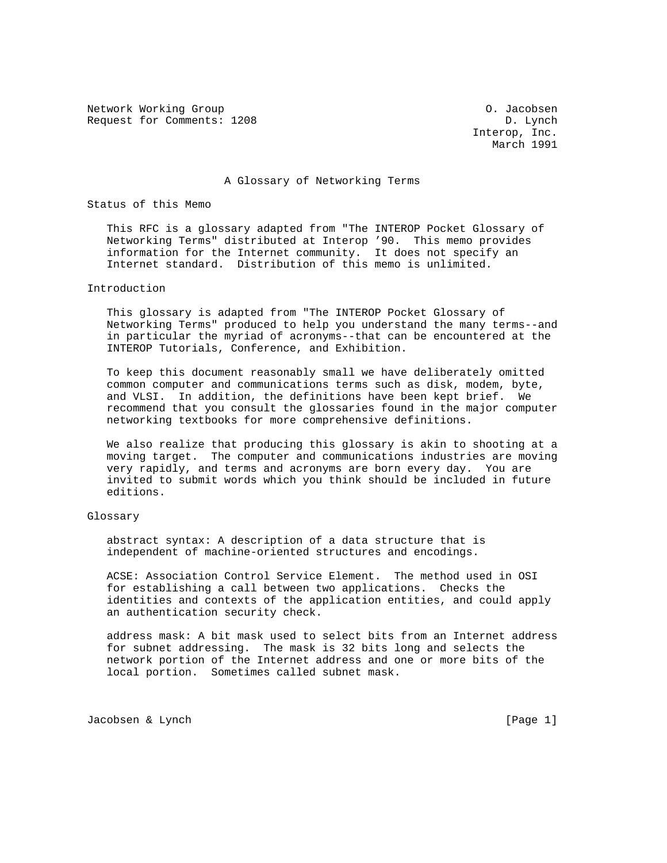Network Working Group Communication of the United States of the United States of the O. Jacobsen Request for Comments: 1208 D. Lynch

 Interop, Inc. March 1991

## A Glossary of Networking Terms

Status of this Memo

 This RFC is a glossary adapted from "The INTEROP Pocket Glossary of Networking Terms" distributed at Interop '90. This memo provides information for the Internet community. It does not specify an Internet standard. Distribution of this memo is unlimited.

## Introduction

 This glossary is adapted from "The INTEROP Pocket Glossary of Networking Terms" produced to help you understand the many terms--and in particular the myriad of acronyms--that can be encountered at the INTEROP Tutorials, Conference, and Exhibition.

 To keep this document reasonably small we have deliberately omitted common computer and communications terms such as disk, modem, byte, and VLSI. In addition, the definitions have been kept brief. We recommend that you consult the glossaries found in the major computer networking textbooks for more comprehensive definitions.

 We also realize that producing this glossary is akin to shooting at a moving target. The computer and communications industries are moving very rapidly, and terms and acronyms are born every day. You are invited to submit words which you think should be included in future editions.

## Glossary

 abstract syntax: A description of a data structure that is independent of machine-oriented structures and encodings.

 ACSE: Association Control Service Element. The method used in OSI for establishing a call between two applications. Checks the identities and contexts of the application entities, and could apply an authentication security check.

 address mask: A bit mask used to select bits from an Internet address for subnet addressing. The mask is 32 bits long and selects the network portion of the Internet address and one or more bits of the local portion. Sometimes called subnet mask.

Jacobsen & Lynch [Page 1]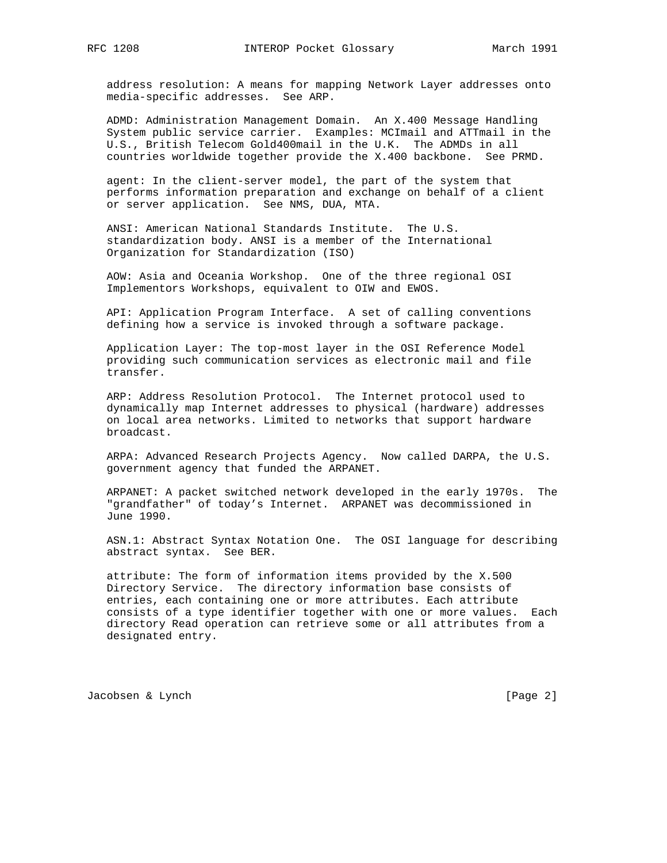address resolution: A means for mapping Network Layer addresses onto media-specific addresses. See ARP.

 ADMD: Administration Management Domain. An X.400 Message Handling System public service carrier. Examples: MCImail and ATTmail in the U.S., British Telecom Gold400mail in the U.K. The ADMDs in all countries worldwide together provide the X.400 backbone. See PRMD.

 agent: In the client-server model, the part of the system that performs information preparation and exchange on behalf of a client or server application. See NMS, DUA, MTA.

 ANSI: American National Standards Institute. The U.S. standardization body. ANSI is a member of the International Organization for Standardization (ISO)

 AOW: Asia and Oceania Workshop. One of the three regional OSI Implementors Workshops, equivalent to OIW and EWOS.

 API: Application Program Interface. A set of calling conventions defining how a service is invoked through a software package.

 Application Layer: The top-most layer in the OSI Reference Model providing such communication services as electronic mail and file transfer.

 ARP: Address Resolution Protocol. The Internet protocol used to dynamically map Internet addresses to physical (hardware) addresses on local area networks. Limited to networks that support hardware broadcast.

 ARPA: Advanced Research Projects Agency. Now called DARPA, the U.S. government agency that funded the ARPANET.

 ARPANET: A packet switched network developed in the early 1970s. The "grandfather" of today's Internet. ARPANET was decommissioned in June 1990.

 ASN.1: Abstract Syntax Notation One. The OSI language for describing abstract syntax. See BER.

 attribute: The form of information items provided by the X.500 Directory Service. The directory information base consists of entries, each containing one or more attributes. Each attribute consists of a type identifier together with one or more values. Each directory Read operation can retrieve some or all attributes from a designated entry.

Jacobsen & Lynch [Page 2]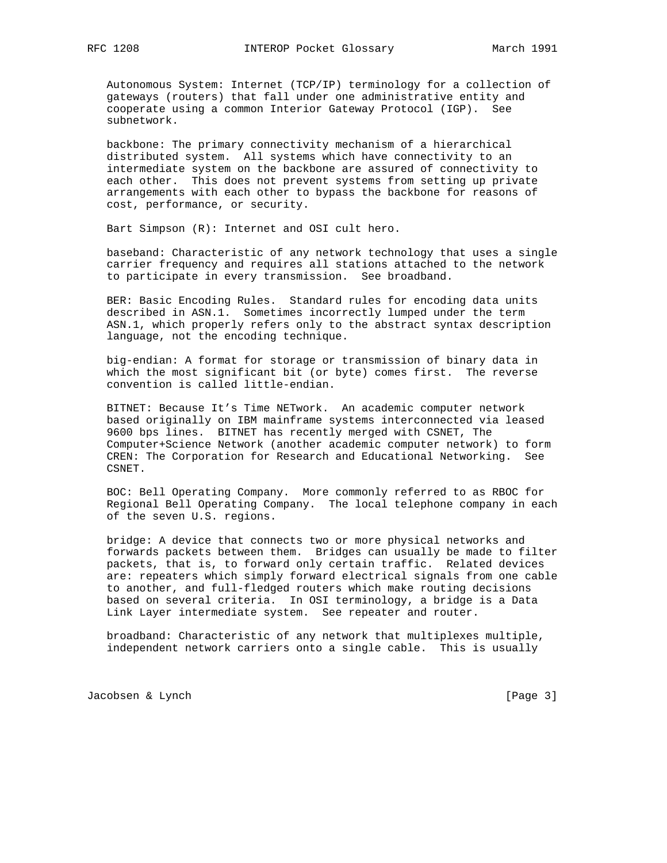Autonomous System: Internet (TCP/IP) terminology for a collection of gateways (routers) that fall under one administrative entity and cooperate using a common Interior Gateway Protocol (IGP). See subnetwork.

 backbone: The primary connectivity mechanism of a hierarchical distributed system. All systems which have connectivity to an intermediate system on the backbone are assured of connectivity to each other. This does not prevent systems from setting up private arrangements with each other to bypass the backbone for reasons of cost, performance, or security.

Bart Simpson (R): Internet and OSI cult hero.

 baseband: Characteristic of any network technology that uses a single carrier frequency and requires all stations attached to the network to participate in every transmission. See broadband.

 BER: Basic Encoding Rules. Standard rules for encoding data units described in ASN.1. Sometimes incorrectly lumped under the term ASN.1, which properly refers only to the abstract syntax description language, not the encoding technique.

 big-endian: A format for storage or transmission of binary data in which the most significant bit (or byte) comes first. The reverse convention is called little-endian.

 BITNET: Because It's Time NETwork. An academic computer network based originally on IBM mainframe systems interconnected via leased 9600 bps lines. BITNET has recently merged with CSNET, The Computer+Science Network (another academic computer network) to form CREN: The Corporation for Research and Educational Networking. See CSNET.

 BOC: Bell Operating Company. More commonly referred to as RBOC for Regional Bell Operating Company. The local telephone company in each of the seven U.S. regions.

 bridge: A device that connects two or more physical networks and forwards packets between them. Bridges can usually be made to filter packets, that is, to forward only certain traffic. Related devices are: repeaters which simply forward electrical signals from one cable to another, and full-fledged routers which make routing decisions based on several criteria. In OSI terminology, a bridge is a Data Link Layer intermediate system. See repeater and router.

 broadband: Characteristic of any network that multiplexes multiple, independent network carriers onto a single cable. This is usually

Jacobsen & Lynch [Page 3]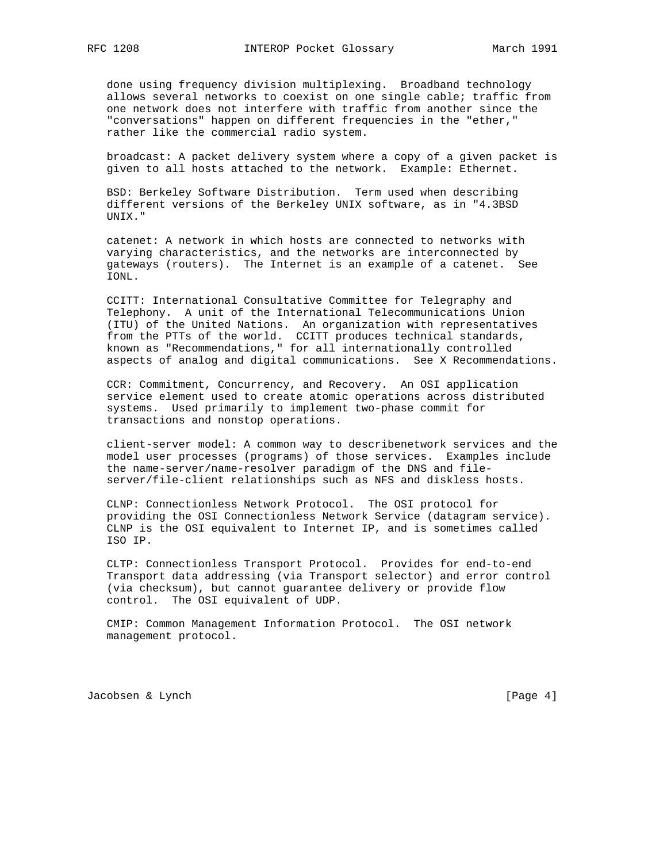done using frequency division multiplexing. Broadband technology allows several networks to coexist on one single cable; traffic from one network does not interfere with traffic from another since the "conversations" happen on different frequencies in the "ether," rather like the commercial radio system.

 broadcast: A packet delivery system where a copy of a given packet is given to all hosts attached to the network. Example: Ethernet.

 BSD: Berkeley Software Distribution. Term used when describing different versions of the Berkeley UNIX software, as in "4.3BSD UNIX."

 catenet: A network in which hosts are connected to networks with varying characteristics, and the networks are interconnected by gateways (routers). The Internet is an example of a catenet. See IONL.

 CCITT: International Consultative Committee for Telegraphy and Telephony. A unit of the International Telecommunications Union (ITU) of the United Nations. An organization with representatives from the PTTs of the world. CCITT produces technical standards, known as "Recommendations," for all internationally controlled aspects of analog and digital communications. See X Recommendations.

 CCR: Commitment, Concurrency, and Recovery. An OSI application service element used to create atomic operations across distributed systems. Used primarily to implement two-phase commit for transactions and nonstop operations.

 client-server model: A common way to describenetwork services and the model user processes (programs) of those services. Examples include the name-server/name-resolver paradigm of the DNS and file server/file-client relationships such as NFS and diskless hosts.

 CLNP: Connectionless Network Protocol. The OSI protocol for providing the OSI Connectionless Network Service (datagram service). CLNP is the OSI equivalent to Internet IP, and is sometimes called ISO IP.

 CLTP: Connectionless Transport Protocol. Provides for end-to-end Transport data addressing (via Transport selector) and error control (via checksum), but cannot guarantee delivery or provide flow control. The OSI equivalent of UDP.

 CMIP: Common Management Information Protocol. The OSI network management protocol.

Jacobsen & Lynch [Page 4]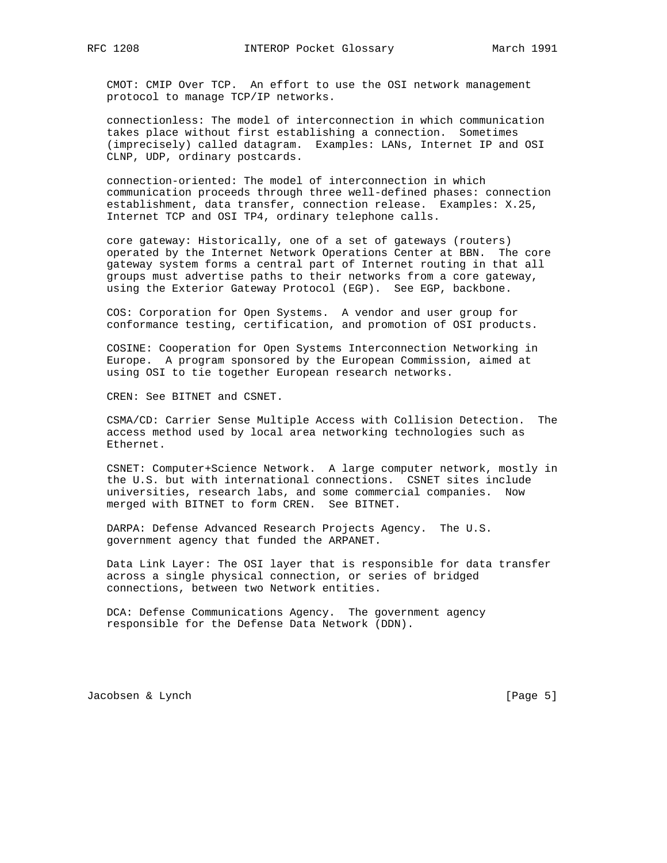CMOT: CMIP Over TCP. An effort to use the OSI network management protocol to manage TCP/IP networks.

 connectionless: The model of interconnection in which communication takes place without first establishing a connection. Sometimes (imprecisely) called datagram. Examples: LANs, Internet IP and OSI CLNP, UDP, ordinary postcards.

 connection-oriented: The model of interconnection in which communication proceeds through three well-defined phases: connection establishment, data transfer, connection release. Examples: X.25, Internet TCP and OSI TP4, ordinary telephone calls.

 core gateway: Historically, one of a set of gateways (routers) operated by the Internet Network Operations Center at BBN. The core gateway system forms a central part of Internet routing in that all groups must advertise paths to their networks from a core gateway, using the Exterior Gateway Protocol (EGP). See EGP, backbone.

 COS: Corporation for Open Systems. A vendor and user group for conformance testing, certification, and promotion of OSI products.

 COSINE: Cooperation for Open Systems Interconnection Networking in Europe. A program sponsored by the European Commission, aimed at using OSI to tie together European research networks.

CREN: See BITNET and CSNET.

 CSMA/CD: Carrier Sense Multiple Access with Collision Detection. The access method used by local area networking technologies such as Ethernet.

 CSNET: Computer+Science Network. A large computer network, mostly in the U.S. but with international connections. CSNET sites include universities, research labs, and some commercial companies. Now merged with BITNET to form CREN. See BITNET.

 DARPA: Defense Advanced Research Projects Agency. The U.S. government agency that funded the ARPANET.

 Data Link Layer: The OSI layer that is responsible for data transfer across a single physical connection, or series of bridged connections, between two Network entities.

 DCA: Defense Communications Agency. The government agency responsible for the Defense Data Network (DDN).

Jacobsen & Lynch [Page 5]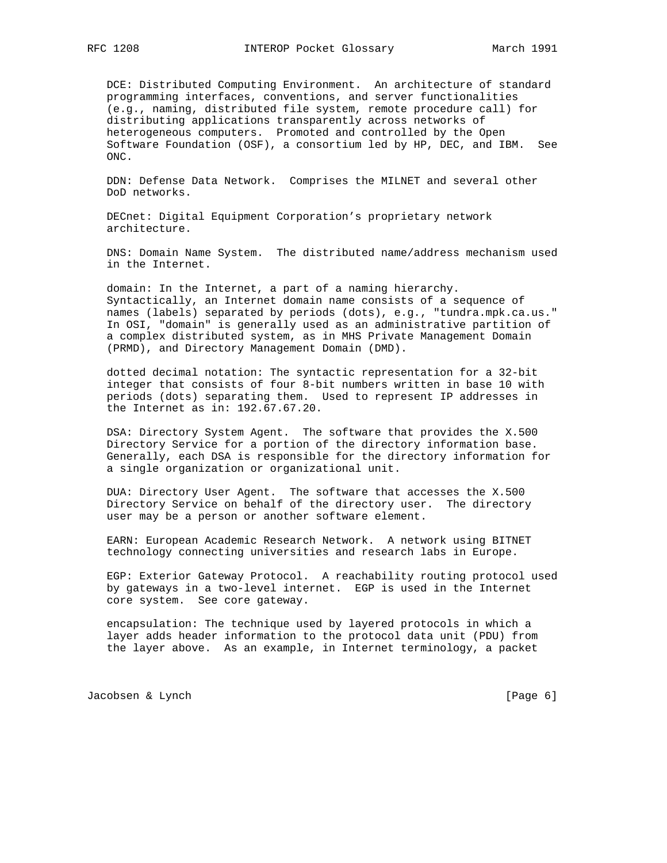DCE: Distributed Computing Environment. An architecture of standard programming interfaces, conventions, and server functionalities (e.g., naming, distributed file system, remote procedure call) for distributing applications transparently across networks of heterogeneous computers. Promoted and controlled by the Open Software Foundation (OSF), a consortium led by HP, DEC, and IBM. See ONC.

 DDN: Defense Data Network. Comprises the MILNET and several other DoD networks.

 DECnet: Digital Equipment Corporation's proprietary network architecture.

 DNS: Domain Name System. The distributed name/address mechanism used in the Internet.

 domain: In the Internet, a part of a naming hierarchy. Syntactically, an Internet domain name consists of a sequence of names (labels) separated by periods (dots), e.g., "tundra.mpk.ca.us." In OSI, "domain" is generally used as an administrative partition of a complex distributed system, as in MHS Private Management Domain (PRMD), and Directory Management Domain (DMD).

 dotted decimal notation: The syntactic representation for a 32-bit integer that consists of four 8-bit numbers written in base 10 with periods (dots) separating them. Used to represent IP addresses in the Internet as in: 192.67.67.20.

 DSA: Directory System Agent. The software that provides the X.500 Directory Service for a portion of the directory information base. Generally, each DSA is responsible for the directory information for a single organization or organizational unit.

 DUA: Directory User Agent. The software that accesses the X.500 Directory Service on behalf of the directory user. The directory user may be a person or another software element.

 EARN: European Academic Research Network. A network using BITNET technology connecting universities and research labs in Europe.

 EGP: Exterior Gateway Protocol. A reachability routing protocol used by gateways in a two-level internet. EGP is used in the Internet core system. See core gateway.

 encapsulation: The technique used by layered protocols in which a layer adds header information to the protocol data unit (PDU) from the layer above. As an example, in Internet terminology, a packet

Jacobsen & Lynch [Page 6]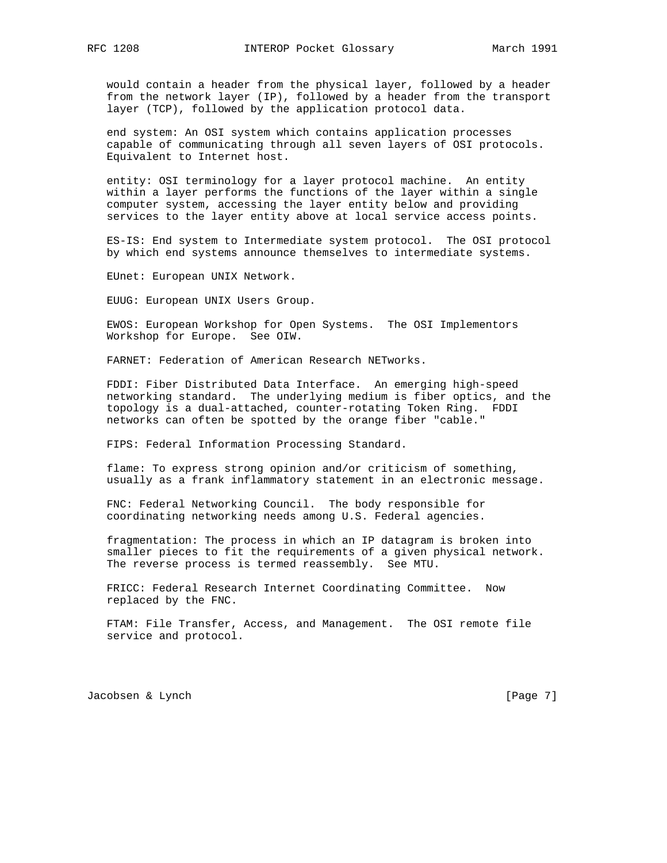would contain a header from the physical layer, followed by a header from the network layer (IP), followed by a header from the transport layer (TCP), followed by the application protocol data.

 end system: An OSI system which contains application processes capable of communicating through all seven layers of OSI protocols. Equivalent to Internet host.

 entity: OSI terminology for a layer protocol machine. An entity within a layer performs the functions of the layer within a single computer system, accessing the layer entity below and providing services to the layer entity above at local service access points.

 ES-IS: End system to Intermediate system protocol. The OSI protocol by which end systems announce themselves to intermediate systems.

EUnet: European UNIX Network.

EUUG: European UNIX Users Group.

 EWOS: European Workshop for Open Systems. The OSI Implementors Workshop for Europe. See OIW.

FARNET: Federation of American Research NETworks.

 FDDI: Fiber Distributed Data Interface. An emerging high-speed networking standard. The underlying medium is fiber optics, and the topology is a dual-attached, counter-rotating Token Ring. FDDI networks can often be spotted by the orange fiber "cable."

FIPS: Federal Information Processing Standard.

 flame: To express strong opinion and/or criticism of something, usually as a frank inflammatory statement in an electronic message.

 FNC: Federal Networking Council. The body responsible for coordinating networking needs among U.S. Federal agencies.

 fragmentation: The process in which an IP datagram is broken into smaller pieces to fit the requirements of a given physical network. The reverse process is termed reassembly. See MTU.

 FRICC: Federal Research Internet Coordinating Committee. Now replaced by the FNC.

 FTAM: File Transfer, Access, and Management. The OSI remote file service and protocol.

Jacobsen & Lynch [Page 7]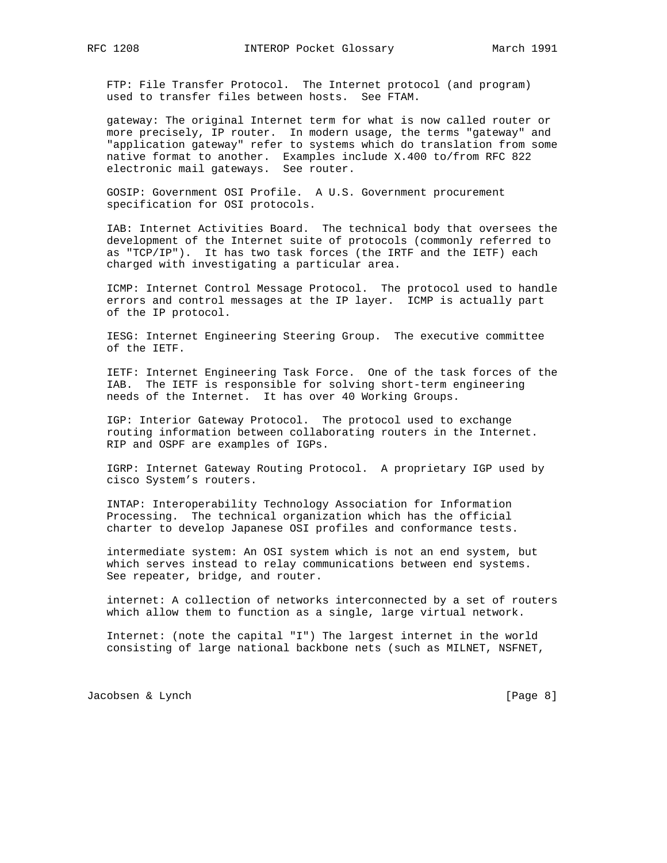FTP: File Transfer Protocol. The Internet protocol (and program) used to transfer files between hosts. See FTAM.

 gateway: The original Internet term for what is now called router or more precisely, IP router. In modern usage, the terms "gateway" and "application gateway" refer to systems which do translation from some native format to another. Examples include X.400 to/from RFC 822 electronic mail gateways. See router.

 GOSIP: Government OSI Profile. A U.S. Government procurement specification for OSI protocols.

 IAB: Internet Activities Board. The technical body that oversees the development of the Internet suite of protocols (commonly referred to as "TCP/IP"). It has two task forces (the IRTF and the IETF) each charged with investigating a particular area.

 ICMP: Internet Control Message Protocol. The protocol used to handle errors and control messages at the IP layer. ICMP is actually part of the IP protocol.

 IESG: Internet Engineering Steering Group. The executive committee of the IETF.

 IETF: Internet Engineering Task Force. One of the task forces of the IAB. The IETF is responsible for solving short-term engineering needs of the Internet. It has over 40 Working Groups.

 IGP: Interior Gateway Protocol. The protocol used to exchange routing information between collaborating routers in the Internet. RIP and OSPF are examples of IGPs.

 IGRP: Internet Gateway Routing Protocol. A proprietary IGP used by cisco System's routers.

 INTAP: Interoperability Technology Association for Information Processing. The technical organization which has the official charter to develop Japanese OSI profiles and conformance tests.

 intermediate system: An OSI system which is not an end system, but which serves instead to relay communications between end systems. See repeater, bridge, and router.

 internet: A collection of networks interconnected by a set of routers which allow them to function as a single, large virtual network.

 Internet: (note the capital "I") The largest internet in the world consisting of large national backbone nets (such as MILNET, NSFNET,

Jacobsen & Lynch [Page 8]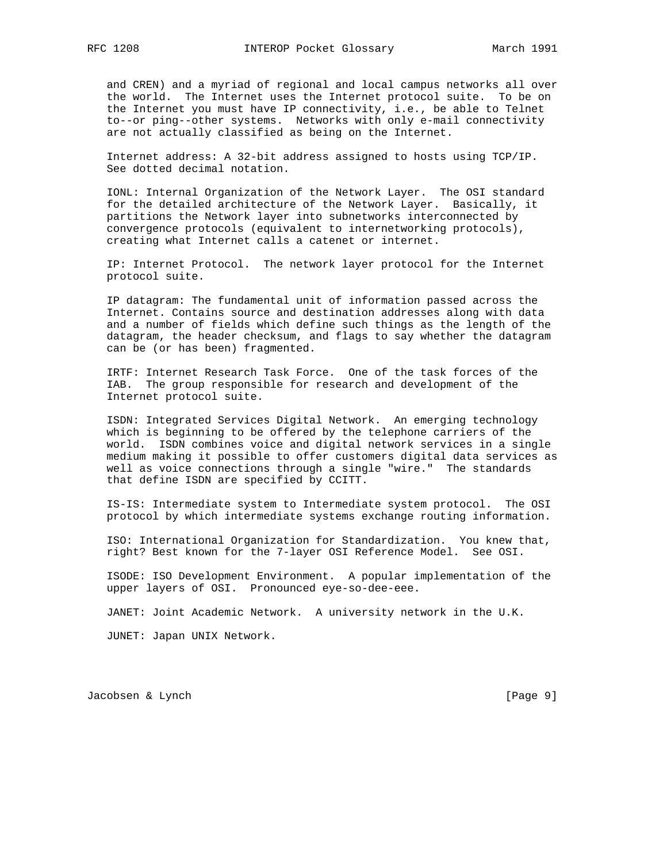and CREN) and a myriad of regional and local campus networks all over the world. The Internet uses the Internet protocol suite. To be on the Internet you must have IP connectivity, i.e., be able to Telnet to--or ping--other systems. Networks with only e-mail connectivity are not actually classified as being on the Internet.

 Internet address: A 32-bit address assigned to hosts using TCP/IP. See dotted decimal notation.

 IONL: Internal Organization of the Network Layer. The OSI standard for the detailed architecture of the Network Layer. Basically, it partitions the Network layer into subnetworks interconnected by convergence protocols (equivalent to internetworking protocols), creating what Internet calls a catenet or internet.

 IP: Internet Protocol. The network layer protocol for the Internet protocol suite.

 IP datagram: The fundamental unit of information passed across the Internet. Contains source and destination addresses along with data and a number of fields which define such things as the length of the datagram, the header checksum, and flags to say whether the datagram can be (or has been) fragmented.

 IRTF: Internet Research Task Force. One of the task forces of the IAB. The group responsible for research and development of the Internet protocol suite.

 ISDN: Integrated Services Digital Network. An emerging technology which is beginning to be offered by the telephone carriers of the world. ISDN combines voice and digital network services in a single medium making it possible to offer customers digital data services as well as voice connections through a single "wire." The standards that define ISDN are specified by CCITT.

 IS-IS: Intermediate system to Intermediate system protocol. The OSI protocol by which intermediate systems exchange routing information.

 ISO: International Organization for Standardization. You knew that, right? Best known for the 7-layer OSI Reference Model. See OSI.

 ISODE: ISO Development Environment. A popular implementation of the upper layers of OSI. Pronounced eye-so-dee-eee.

JANET: Joint Academic Network. A university network in the U.K.

JUNET: Japan UNIX Network.

Jacobsen & Lynch [Page 9]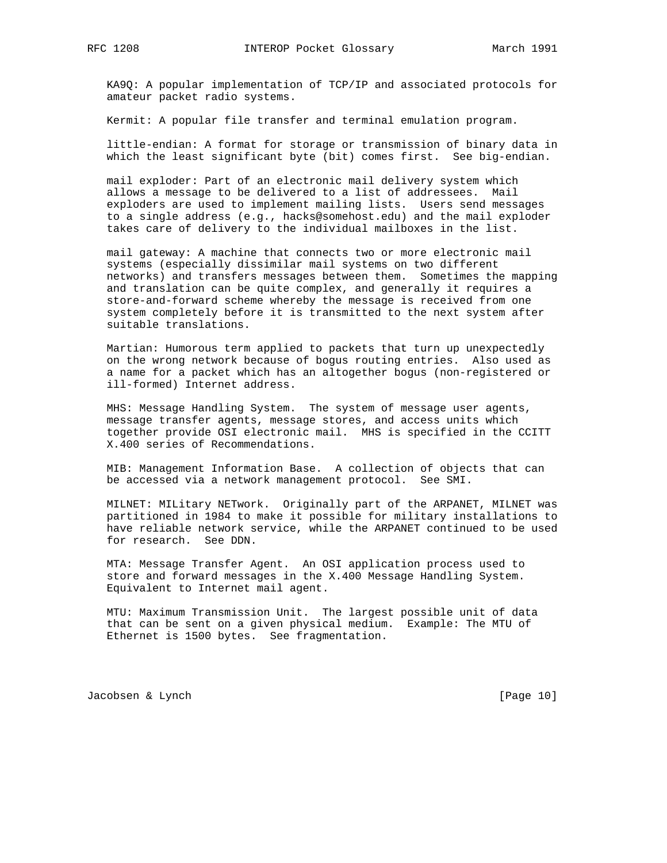KA9Q: A popular implementation of TCP/IP and associated protocols for amateur packet radio systems.

Kermit: A popular file transfer and terminal emulation program.

 little-endian: A format for storage or transmission of binary data in which the least significant byte (bit) comes first. See big-endian.

 mail exploder: Part of an electronic mail delivery system which allows a message to be delivered to a list of addressees. Mail exploders are used to implement mailing lists. Users send messages to a single address (e.g., hacks@somehost.edu) and the mail exploder takes care of delivery to the individual mailboxes in the list.

 mail gateway: A machine that connects two or more electronic mail systems (especially dissimilar mail systems on two different networks) and transfers messages between them. Sometimes the mapping and translation can be quite complex, and generally it requires a store-and-forward scheme whereby the message is received from one system completely before it is transmitted to the next system after suitable translations.

 Martian: Humorous term applied to packets that turn up unexpectedly on the wrong network because of bogus routing entries. Also used as a name for a packet which has an altogether bogus (non-registered or ill-formed) Internet address.

 MHS: Message Handling System. The system of message user agents, message transfer agents, message stores, and access units which together provide OSI electronic mail. MHS is specified in the CCITT X.400 series of Recommendations.

 MIB: Management Information Base. A collection of objects that can be accessed via a network management protocol. See SMI.

 MILNET: MILitary NETwork. Originally part of the ARPANET, MILNET was partitioned in 1984 to make it possible for military installations to have reliable network service, while the ARPANET continued to be used for research. See DDN.

 MTA: Message Transfer Agent. An OSI application process used to store and forward messages in the X.400 Message Handling System. Equivalent to Internet mail agent.

 MTU: Maximum Transmission Unit. The largest possible unit of data that can be sent on a given physical medium. Example: The MTU of Ethernet is 1500 bytes. See fragmentation.

Jacobsen & Lynch [Page 10]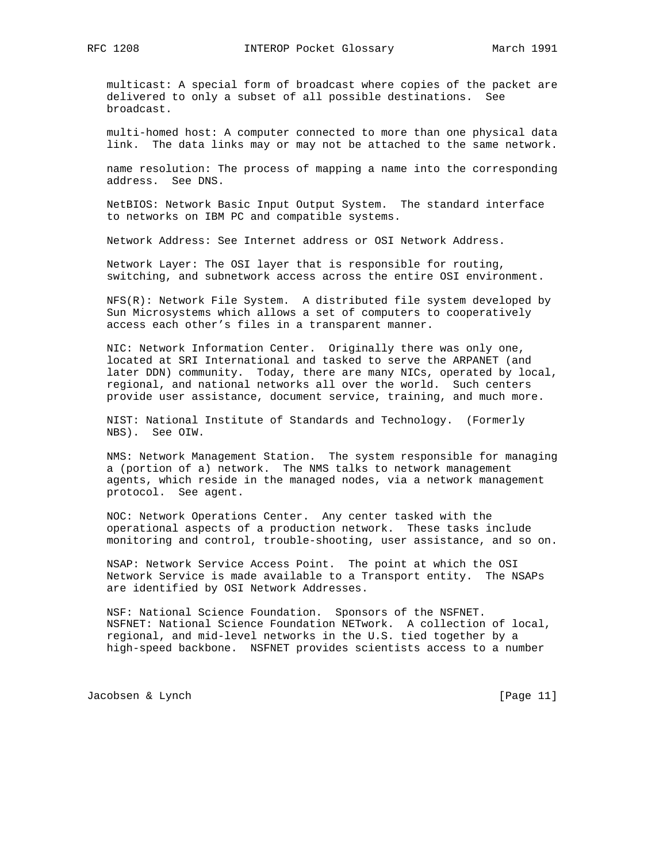multicast: A special form of broadcast where copies of the packet are delivered to only a subset of all possible destinations. See broadcast.

 multi-homed host: A computer connected to more than one physical data link. The data links may or may not be attached to the same network.

 name resolution: The process of mapping a name into the corresponding address. See DNS.

 NetBIOS: Network Basic Input Output System. The standard interface to networks on IBM PC and compatible systems.

Network Address: See Internet address or OSI Network Address.

 Network Layer: The OSI layer that is responsible for routing, switching, and subnetwork access across the entire OSI environment.

 NFS(R): Network File System. A distributed file system developed by Sun Microsystems which allows a set of computers to cooperatively access each other's files in a transparent manner.

 NIC: Network Information Center. Originally there was only one, located at SRI International and tasked to serve the ARPANET (and later DDN) community. Today, there are many NICs, operated by local, regional, and national networks all over the world. Such centers provide user assistance, document service, training, and much more.

 NIST: National Institute of Standards and Technology. (Formerly NBS). See OIW.

 NMS: Network Management Station. The system responsible for managing a (portion of a) network. The NMS talks to network management agents, which reside in the managed nodes, via a network management protocol. See agent.

 NOC: Network Operations Center. Any center tasked with the operational aspects of a production network. These tasks include monitoring and control, trouble-shooting, user assistance, and so on.

 NSAP: Network Service Access Point. The point at which the OSI Network Service is made available to a Transport entity. The NSAPs are identified by OSI Network Addresses.

 NSF: National Science Foundation. Sponsors of the NSFNET. NSFNET: National Science Foundation NETwork. A collection of local, regional, and mid-level networks in the U.S. tied together by a high-speed backbone. NSFNET provides scientists access to a number

Jacobsen & Lynch [Page 11]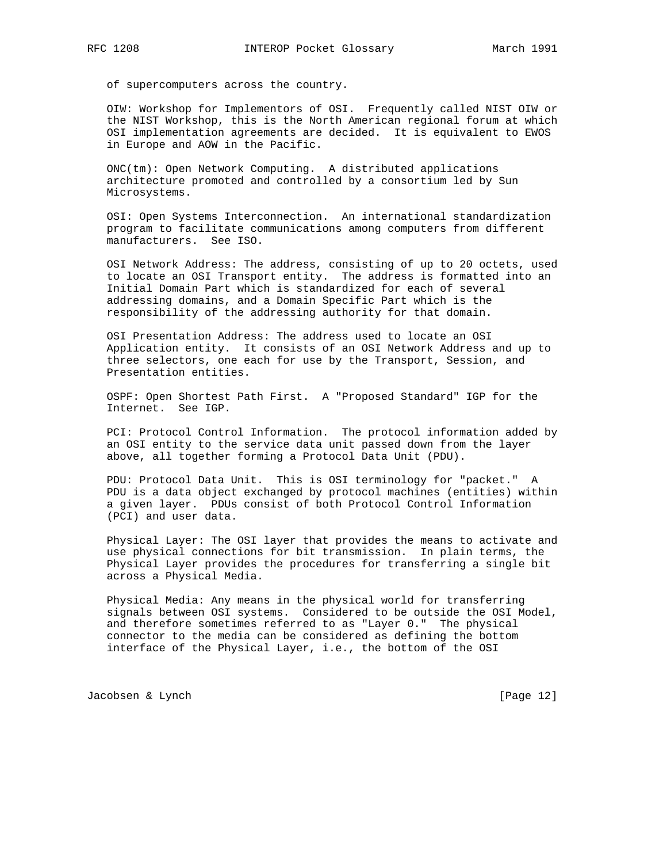of supercomputers across the country.

 OIW: Workshop for Implementors of OSI. Frequently called NIST OIW or the NIST Workshop, this is the North American regional forum at which OSI implementation agreements are decided. It is equivalent to EWOS in Europe and AOW in the Pacific.

 ONC(tm): Open Network Computing. A distributed applications architecture promoted and controlled by a consortium led by Sun Microsystems.

 OSI: Open Systems Interconnection. An international standardization program to facilitate communications among computers from different manufacturers. See ISO.

 OSI Network Address: The address, consisting of up to 20 octets, used to locate an OSI Transport entity. The address is formatted into an Initial Domain Part which is standardized for each of several addressing domains, and a Domain Specific Part which is the responsibility of the addressing authority for that domain.

 OSI Presentation Address: The address used to locate an OSI Application entity. It consists of an OSI Network Address and up to three selectors, one each for use by the Transport, Session, and Presentation entities.

 OSPF: Open Shortest Path First. A "Proposed Standard" IGP for the Internet. See IGP.

 PCI: Protocol Control Information. The protocol information added by an OSI entity to the service data unit passed down from the layer above, all together forming a Protocol Data Unit (PDU).

 PDU: Protocol Data Unit. This is OSI terminology for "packet." A PDU is a data object exchanged by protocol machines (entities) within a given layer. PDUs consist of both Protocol Control Information (PCI) and user data.

 Physical Layer: The OSI layer that provides the means to activate and use physical connections for bit transmission. In plain terms, the Physical Layer provides the procedures for transferring a single bit across a Physical Media.

 Physical Media: Any means in the physical world for transferring signals between OSI systems. Considered to be outside the OSI Model, and therefore sometimes referred to as "Layer 0." The physical connector to the media can be considered as defining the bottom interface of the Physical Layer, i.e., the bottom of the OSI

Jacobsen & Lynch [Page 12]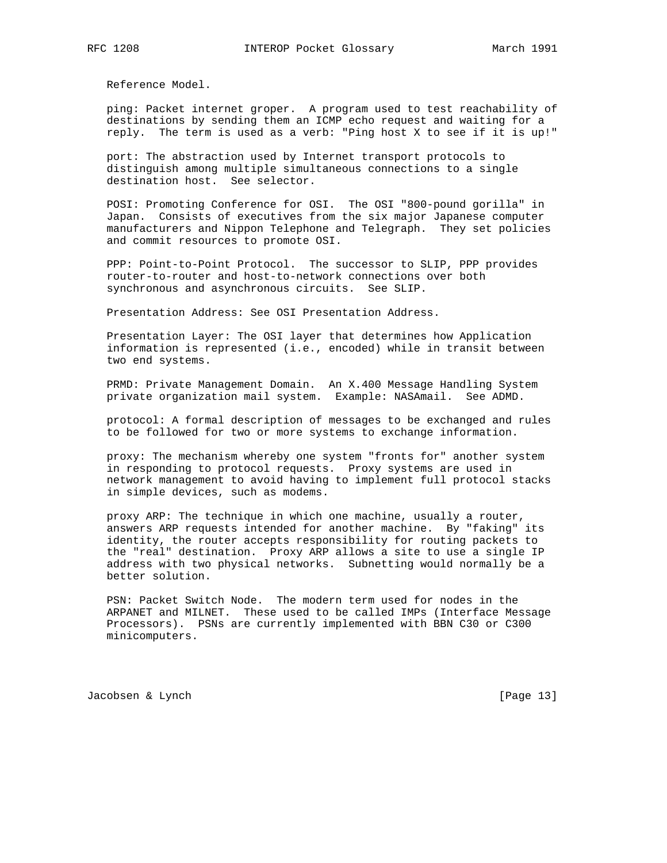Reference Model.

 ping: Packet internet groper. A program used to test reachability of destinations by sending them an ICMP echo request and waiting for a reply. The term is used as a verb: "Ping host X to see if it is up!"

 port: The abstraction used by Internet transport protocols to distinguish among multiple simultaneous connections to a single destination host. See selector.

 POSI: Promoting Conference for OSI. The OSI "800-pound gorilla" in Japan. Consists of executives from the six major Japanese computer manufacturers and Nippon Telephone and Telegraph. They set policies and commit resources to promote OSI.

 PPP: Point-to-Point Protocol. The successor to SLIP, PPP provides router-to-router and host-to-network connections over both synchronous and asynchronous circuits. See SLIP.

Presentation Address: See OSI Presentation Address.

 Presentation Layer: The OSI layer that determines how Application information is represented (i.e., encoded) while in transit between two end systems.

 PRMD: Private Management Domain. An X.400 Message Handling System private organization mail system. Example: NASAmail. See ADMD.

 protocol: A formal description of messages to be exchanged and rules to be followed for two or more systems to exchange information.

 proxy: The mechanism whereby one system "fronts for" another system in responding to protocol requests. Proxy systems are used in network management to avoid having to implement full protocol stacks in simple devices, such as modems.

 proxy ARP: The technique in which one machine, usually a router, answers ARP requests intended for another machine. By "faking" its identity, the router accepts responsibility for routing packets to the "real" destination. Proxy ARP allows a site to use a single IP address with two physical networks. Subnetting would normally be a better solution.

 PSN: Packet Switch Node. The modern term used for nodes in the ARPANET and MILNET. These used to be called IMPs (Interface Message Processors). PSNs are currently implemented with BBN C30 or C300 minicomputers.

Jacobsen & Lynch [Page 13]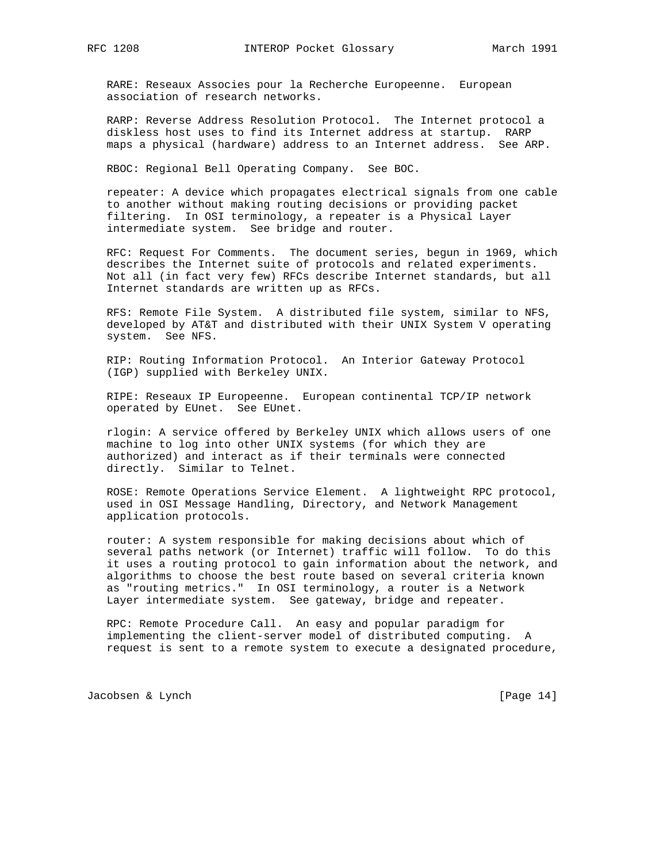RARE: Reseaux Associes pour la Recherche Europeenne. European association of research networks.

 RARP: Reverse Address Resolution Protocol. The Internet protocol a diskless host uses to find its Internet address at startup. RARP maps a physical (hardware) address to an Internet address. See ARP.

RBOC: Regional Bell Operating Company. See BOC.

 repeater: A device which propagates electrical signals from one cable to another without making routing decisions or providing packet filtering. In OSI terminology, a repeater is a Physical Layer intermediate system. See bridge and router.

 RFC: Request For Comments. The document series, begun in 1969, which describes the Internet suite of protocols and related experiments. Not all (in fact very few) RFCs describe Internet standards, but all Internet standards are written up as RFCs.

 RFS: Remote File System. A distributed file system, similar to NFS, developed by AT&T and distributed with their UNIX System V operating system. See NFS.

 RIP: Routing Information Protocol. An Interior Gateway Protocol (IGP) supplied with Berkeley UNIX.

 RIPE: Reseaux IP Europeenne. European continental TCP/IP network operated by EUnet. See EUnet.

 rlogin: A service offered by Berkeley UNIX which allows users of one machine to log into other UNIX systems (for which they are authorized) and interact as if their terminals were connected directly. Similar to Telnet.

 ROSE: Remote Operations Service Element. A lightweight RPC protocol, used in OSI Message Handling, Directory, and Network Management application protocols.

 router: A system responsible for making decisions about which of several paths network (or Internet) traffic will follow. To do this it uses a routing protocol to gain information about the network, and algorithms to choose the best route based on several criteria known as "routing metrics." In OSI terminology, a router is a Network Layer intermediate system. See gateway, bridge and repeater.

 RPC: Remote Procedure Call. An easy and popular paradigm for implementing the client-server model of distributed computing. A request is sent to a remote system to execute a designated procedure,

Jacobsen & Lynch [Page 14]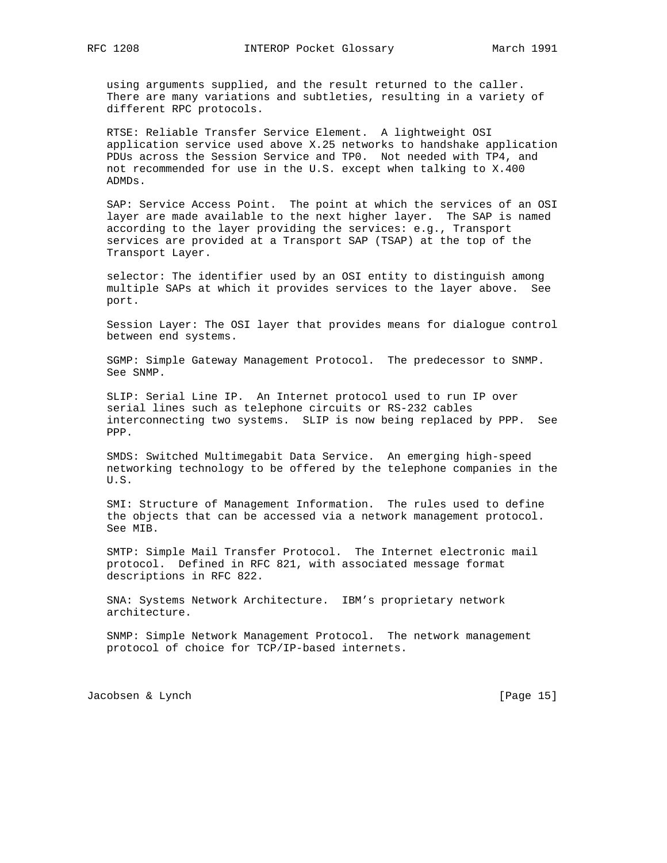using arguments supplied, and the result returned to the caller. There are many variations and subtleties, resulting in a variety of different RPC protocols.

 RTSE: Reliable Transfer Service Element. A lightweight OSI application service used above X.25 networks to handshake application PDUs across the Session Service and TP0. Not needed with TP4, and not recommended for use in the U.S. except when talking to X.400 ADMDs.

 SAP: Service Access Point. The point at which the services of an OSI layer are made available to the next higher layer. The SAP is named according to the layer providing the services: e.g., Transport services are provided at a Transport SAP (TSAP) at the top of the Transport Layer.

 selector: The identifier used by an OSI entity to distinguish among multiple SAPs at which it provides services to the layer above. See port.

 Session Layer: The OSI layer that provides means for dialogue control between end systems.

 SGMP: Simple Gateway Management Protocol. The predecessor to SNMP. See SNMP.

 SLIP: Serial Line IP. An Internet protocol used to run IP over serial lines such as telephone circuits or RS-232 cables interconnecting two systems. SLIP is now being replaced by PPP. See PPP.

 SMDS: Switched Multimegabit Data Service. An emerging high-speed networking technology to be offered by the telephone companies in the U.S.

 SMI: Structure of Management Information. The rules used to define the objects that can be accessed via a network management protocol. See MIB.

 SMTP: Simple Mail Transfer Protocol. The Internet electronic mail protocol. Defined in RFC 821, with associated message format descriptions in RFC 822.

 SNA: Systems Network Architecture. IBM's proprietary network architecture.

 SNMP: Simple Network Management Protocol. The network management protocol of choice for TCP/IP-based internets.

Jacobsen & Lynch [Page 15]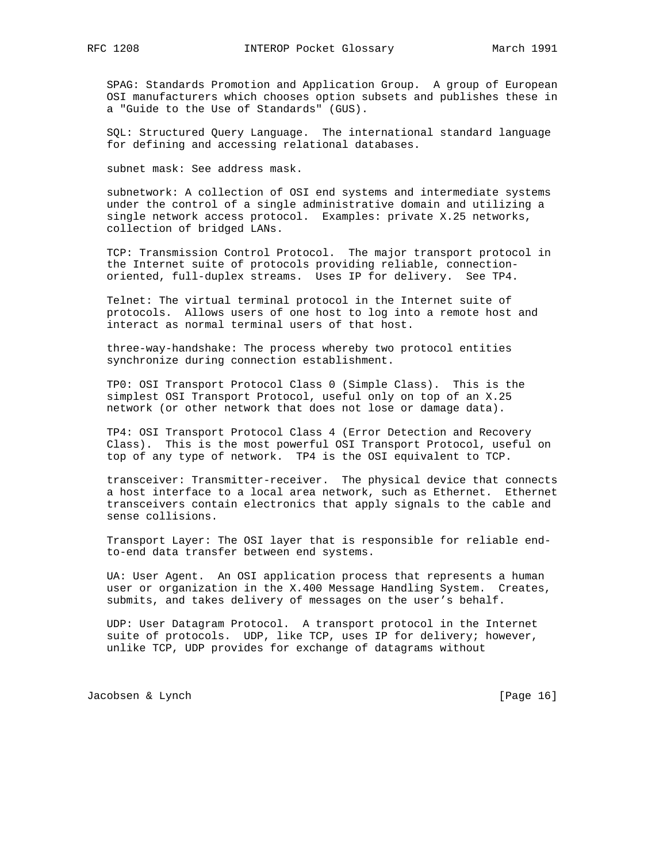SPAG: Standards Promotion and Application Group. A group of European OSI manufacturers which chooses option subsets and publishes these in a "Guide to the Use of Standards" (GUS).

 SQL: Structured Query Language. The international standard language for defining and accessing relational databases.

subnet mask: See address mask.

 subnetwork: A collection of OSI end systems and intermediate systems under the control of a single administrative domain and utilizing a single network access protocol. Examples: private X.25 networks, collection of bridged LANs.

 TCP: Transmission Control Protocol. The major transport protocol in the Internet suite of protocols providing reliable, connection oriented, full-duplex streams. Uses IP for delivery. See TP4.

 Telnet: The virtual terminal protocol in the Internet suite of protocols. Allows users of one host to log into a remote host and interact as normal terminal users of that host.

 three-way-handshake: The process whereby two protocol entities synchronize during connection establishment.

 TP0: OSI Transport Protocol Class 0 (Simple Class). This is the simplest OSI Transport Protocol, useful only on top of an X.25 network (or other network that does not lose or damage data).

 TP4: OSI Transport Protocol Class 4 (Error Detection and Recovery Class). This is the most powerful OSI Transport Protocol, useful on top of any type of network. TP4 is the OSI equivalent to TCP.

 transceiver: Transmitter-receiver. The physical device that connects a host interface to a local area network, such as Ethernet. Ethernet transceivers contain electronics that apply signals to the cable and sense collisions.

 Transport Layer: The OSI layer that is responsible for reliable end to-end data transfer between end systems.

 UA: User Agent. An OSI application process that represents a human user or organization in the X.400 Message Handling System. Creates, submits, and takes delivery of messages on the user's behalf.

 UDP: User Datagram Protocol. A transport protocol in the Internet suite of protocols. UDP, like TCP, uses IP for delivery; however, unlike TCP, UDP provides for exchange of datagrams without

Jacobsen & Lynch [Page 16]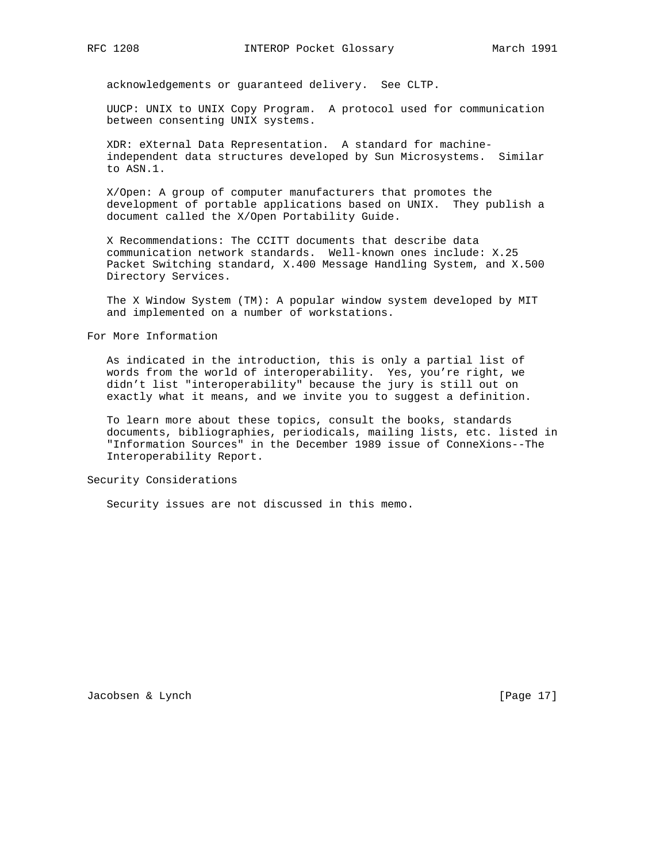acknowledgements or guaranteed delivery. See CLTP.

 UUCP: UNIX to UNIX Copy Program. A protocol used for communication between consenting UNIX systems.

 XDR: eXternal Data Representation. A standard for machine independent data structures developed by Sun Microsystems. Similar to ASN.1.

 X/Open: A group of computer manufacturers that promotes the development of portable applications based on UNIX. They publish a document called the X/Open Portability Guide.

 X Recommendations: The CCITT documents that describe data communication network standards. Well-known ones include: X.25 Packet Switching standard, X.400 Message Handling System, and X.500 Directory Services.

 The X Window System (TM): A popular window system developed by MIT and implemented on a number of workstations.

For More Information

 As indicated in the introduction, this is only a partial list of words from the world of interoperability. Yes, you're right, we didn't list "interoperability" because the jury is still out on exactly what it means, and we invite you to suggest a definition.

 To learn more about these topics, consult the books, standards documents, bibliographies, periodicals, mailing lists, etc. listed in "Information Sources" in the December 1989 issue of ConneXions--The Interoperability Report.

Security Considerations

Security issues are not discussed in this memo.

Jacobsen & Lynch [Page 17]